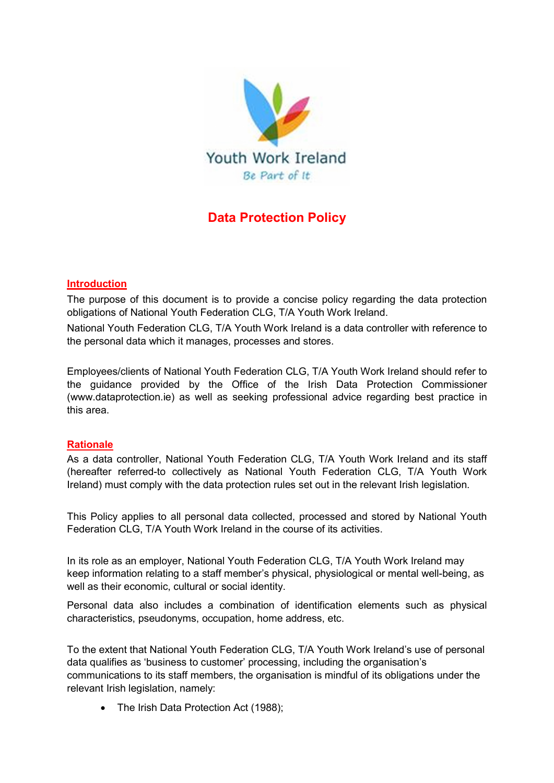

# Data Protection Policy

## Introduction

The purpose of this document is to provide a concise policy regarding the data protection obligations of National Youth Federation CLG, T/A Youth Work Ireland.

National Youth Federation CLG, T/A Youth Work Ireland is a data controller with reference to the personal data which it manages, processes and stores.

Employees/clients of National Youth Federation CLG, T/A Youth Work Ireland should refer to the guidance provided by the Office of the Irish Data Protection Commissioner (www.dataprotection.ie) as well as seeking professional advice regarding best practice in this area.

#### **Rationale**

As a data controller, National Youth Federation CLG, T/A Youth Work Ireland and its staff (hereafter referred-to collectively as National Youth Federation CLG, T/A Youth Work Ireland) must comply with the data protection rules set out in the relevant Irish legislation.

This Policy applies to all personal data collected, processed and stored by National Youth Federation CLG, T/A Youth Work Ireland in the course of its activities.

In its role as an employer, National Youth Federation CLG, T/A Youth Work Ireland may keep information relating to a staff member's physical, physiological or mental well-being, as well as their economic, cultural or social identity.

Personal data also includes a combination of identification elements such as physical characteristics, pseudonyms, occupation, home address, etc.

To the extent that National Youth Federation CLG, T/A Youth Work Ireland's use of personal data qualifies as 'business to customer' processing, including the organisation's communications to its staff members, the organisation is mindful of its obligations under the relevant Irish legislation, namely:

• The Irish Data Protection Act (1988);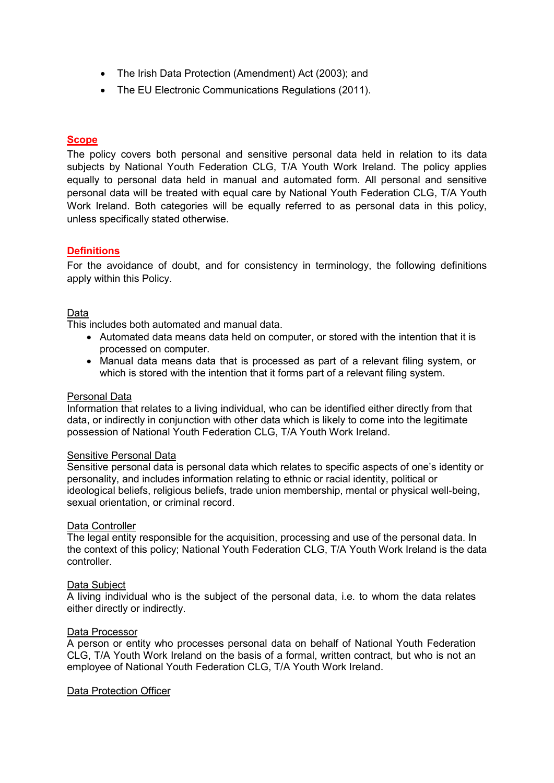- The Irish Data Protection (Amendment) Act (2003); and
- The EU Electronic Communications Regulations (2011).

## **Scope**

The policy covers both personal and sensitive personal data held in relation to its data subjects by National Youth Federation CLG, T/A Youth Work Ireland. The policy applies equally to personal data held in manual and automated form. All personal and sensitive personal data will be treated with equal care by National Youth Federation CLG, T/A Youth Work Ireland. Both categories will be equally referred to as personal data in this policy, unless specifically stated otherwise.

## **Definitions**

For the avoidance of doubt, and for consistency in terminology, the following definitions apply within this Policy.

#### Data

This includes both automated and manual data.

- Automated data means data held on computer, or stored with the intention that it is processed on computer.
- Manual data means data that is processed as part of a relevant filing system, or which is stored with the intention that it forms part of a relevant filing system.

#### Personal Data

Information that relates to a living individual, who can be identified either directly from that data, or indirectly in conjunction with other data which is likely to come into the legitimate possession of National Youth Federation CLG, T/A Youth Work Ireland.

#### Sensitive Personal Data

Sensitive personal data is personal data which relates to specific aspects of one's identity or personality, and includes information relating to ethnic or racial identity, political or ideological beliefs, religious beliefs, trade union membership, mental or physical well-being, sexual orientation, or criminal record.

## Data Controller

The legal entity responsible for the acquisition, processing and use of the personal data. In the context of this policy; National Youth Federation CLG, T/A Youth Work Ireland is the data controller.

#### Data Subject

A living individual who is the subject of the personal data, i.e. to whom the data relates either directly or indirectly.

#### Data Processor

A person or entity who processes personal data on behalf of National Youth Federation CLG, T/A Youth Work Ireland on the basis of a formal, written contract, but who is not an employee of National Youth Federation CLG, T/A Youth Work Ireland.

#### Data Protection Officer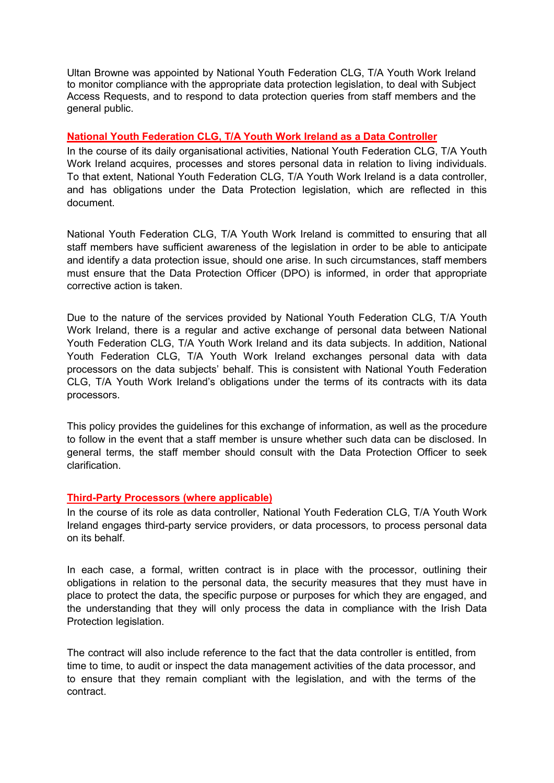Ultan Browne was appointed by National Youth Federation CLG, T/A Youth Work Ireland to monitor compliance with the appropriate data protection legislation, to deal with Subject Access Requests, and to respond to data protection queries from staff members and the general public.

## National Youth Federation CLG, T/A Youth Work Ireland as a Data Controller

In the course of its daily organisational activities, National Youth Federation CLG, T/A Youth Work Ireland acquires, processes and stores personal data in relation to living individuals. To that extent, National Youth Federation CLG, T/A Youth Work Ireland is a data controller, and has obligations under the Data Protection legislation, which are reflected in this document.

National Youth Federation CLG, T/A Youth Work Ireland is committed to ensuring that all staff members have sufficient awareness of the legislation in order to be able to anticipate and identify a data protection issue, should one arise. In such circumstances, staff members must ensure that the Data Protection Officer (DPO) is informed, in order that appropriate corrective action is taken.

Due to the nature of the services provided by National Youth Federation CLG, T/A Youth Work Ireland, there is a regular and active exchange of personal data between National Youth Federation CLG, T/A Youth Work Ireland and its data subjects. In addition, National Youth Federation CLG, T/A Youth Work Ireland exchanges personal data with data processors on the data subjects' behalf. This is consistent with National Youth Federation CLG, T/A Youth Work Ireland's obligations under the terms of its contracts with its data processors.

This policy provides the guidelines for this exchange of information, as well as the procedure to follow in the event that a staff member is unsure whether such data can be disclosed. In general terms, the staff member should consult with the Data Protection Officer to seek clarification.

#### Third-Party Processors (where applicable)

In the course of its role as data controller, National Youth Federation CLG, T/A Youth Work Ireland engages third-party service providers, or data processors, to process personal data on its behalf.

In each case, a formal, written contract is in place with the processor, outlining their obligations in relation to the personal data, the security measures that they must have in place to protect the data, the specific purpose or purposes for which they are engaged, and the understanding that they will only process the data in compliance with the Irish Data Protection legislation.

The contract will also include reference to the fact that the data controller is entitled, from time to time, to audit or inspect the data management activities of the data processor, and to ensure that they remain compliant with the legislation, and with the terms of the contract.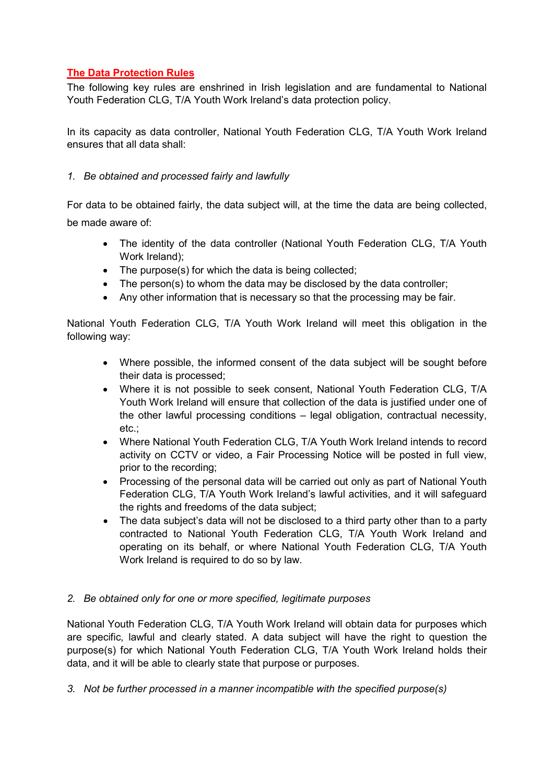# The Data Protection Rules

The following key rules are enshrined in Irish legislation and are fundamental to National Youth Federation CLG, T/A Youth Work Ireland's data protection policy.

In its capacity as data controller, National Youth Federation CLG, T/A Youth Work Ireland ensures that all data shall:

# 1. Be obtained and processed fairly and lawfully

For data to be obtained fairly, the data subject will, at the time the data are being collected, be made aware of:

- The identity of the data controller (National Youth Federation CLG, T/A Youth Work Ireland);
- The purpose(s) for which the data is being collected;
- The person(s) to whom the data may be disclosed by the data controller;
- Any other information that is necessary so that the processing may be fair.

National Youth Federation CLG, T/A Youth Work Ireland will meet this obligation in the following way:

- Where possible, the informed consent of the data subject will be sought before their data is processed;
- Where it is not possible to seek consent, National Youth Federation CLG, T/A Youth Work Ireland will ensure that collection of the data is justified under one of the other lawful processing conditions – legal obligation, contractual necessity, etc.;
- Where National Youth Federation CLG, T/A Youth Work Ireland intends to record activity on CCTV or video, a Fair Processing Notice will be posted in full view, prior to the recording;
- Processing of the personal data will be carried out only as part of National Youth Federation CLG, T/A Youth Work Ireland's lawful activities, and it will safeguard the rights and freedoms of the data subject;
- The data subject's data will not be disclosed to a third party other than to a party contracted to National Youth Federation CLG, T/A Youth Work Ireland and operating on its behalf, or where National Youth Federation CLG, T/A Youth Work Ireland is required to do so by law.

#### 2. Be obtained only for one or more specified, legitimate purposes

National Youth Federation CLG, T/A Youth Work Ireland will obtain data for purposes which are specific, lawful and clearly stated. A data subject will have the right to question the purpose(s) for which National Youth Federation CLG, T/A Youth Work Ireland holds their data, and it will be able to clearly state that purpose or purposes.

3. Not be further processed in a manner incompatible with the specified purpose(s)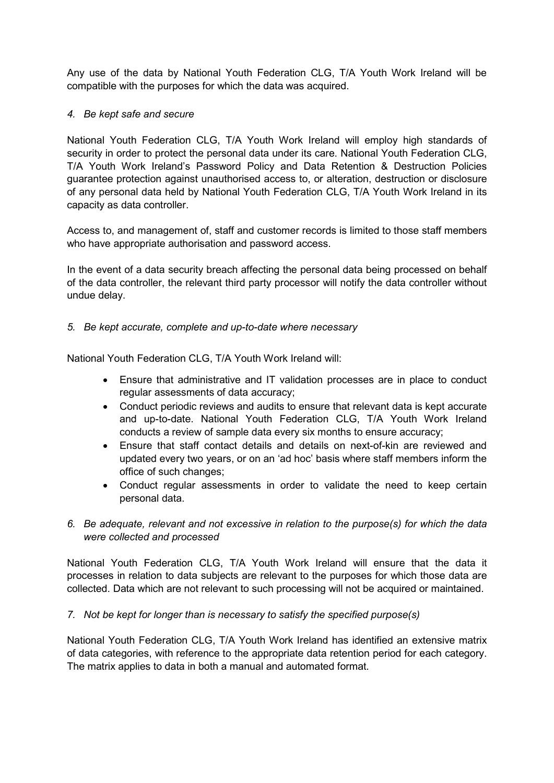Any use of the data by National Youth Federation CLG, T/A Youth Work Ireland will be compatible with the purposes for which the data was acquired.

## 4. Be kept safe and secure

National Youth Federation CLG, T/A Youth Work Ireland will employ high standards of security in order to protect the personal data under its care. National Youth Federation CLG, T/A Youth Work Ireland's Password Policy and Data Retention & Destruction Policies guarantee protection against unauthorised access to, or alteration, destruction or disclosure of any personal data held by National Youth Federation CLG, T/A Youth Work Ireland in its capacity as data controller.

Access to, and management of, staff and customer records is limited to those staff members who have appropriate authorisation and password access.

In the event of a data security breach affecting the personal data being processed on behalf of the data controller, the relevant third party processor will notify the data controller without undue delay.

#### 5. Be kept accurate, complete and up-to-date where necessary

National Youth Federation CLG, T/A Youth Work Ireland will:

- Ensure that administrative and IT validation processes are in place to conduct regular assessments of data accuracy;
- Conduct periodic reviews and audits to ensure that relevant data is kept accurate and up-to-date. National Youth Federation CLG, T/A Youth Work Ireland conducts a review of sample data every six months to ensure accuracy;
- Ensure that staff contact details and details on next-of-kin are reviewed and updated every two years, or on an 'ad hoc' basis where staff members inform the office of such changes;
- Conduct regular assessments in order to validate the need to keep certain personal data.
- 6. Be adequate, relevant and not excessive in relation to the purpose(s) for which the data were collected and processed

National Youth Federation CLG, T/A Youth Work Ireland will ensure that the data it processes in relation to data subjects are relevant to the purposes for which those data are collected. Data which are not relevant to such processing will not be acquired or maintained.

# 7. Not be kept for longer than is necessary to satisfy the specified purpose(s)

National Youth Federation CLG, T/A Youth Work Ireland has identified an extensive matrix of data categories, with reference to the appropriate data retention period for each category. The matrix applies to data in both a manual and automated format.